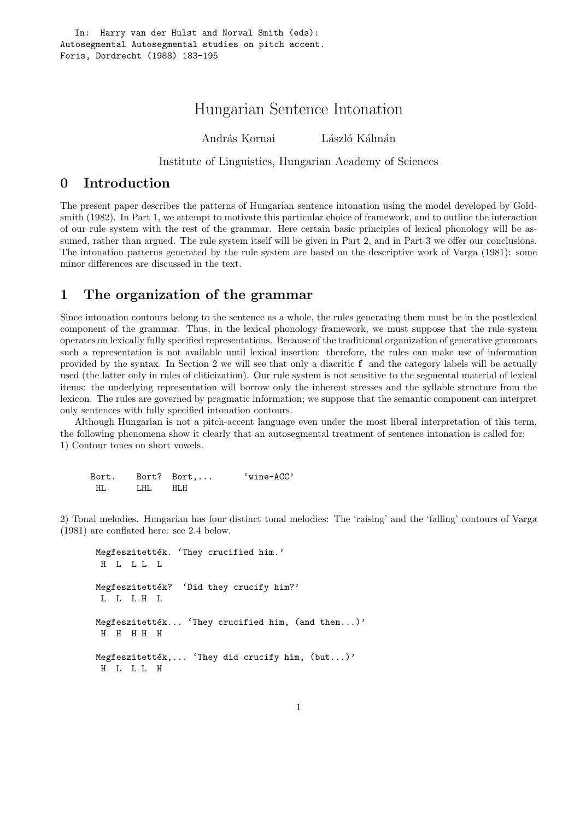# Hungarian Sentence Intonation

András Kornai László Kálmán

Institute of Linguistics, Hungarian Academy of Sciences

### 0 Introduction

The present paper describes the patterns of Hungarian sentence intonation using the model developed by Goldsmith (1982). In Part 1, we attempt to motivate this particular choice of framework, and to outline the interaction of our rule system with the rest of the grammar. Here certain basic principles of lexical phonology will be assumed, rather than argued. The rule system itself will be given in Part 2, and in Part 3 we offer our conclusions. The intonation patterns generated by the rule system are based on the descriptive work of Varga (1981): some minor differences are discussed in the text.

## 1 The organization of the grammar

Since intonation contours belong to the sentence as a whole, the rules generating them must be in the postlexical component of the grammar. Thus, in the lexical phonology framework, we must suppose that the rule system operates on lexically fully specified representations. Because of the traditional organization of generative grammars such a representation is not available until lexical insertion: therefore, the rules can make use of information provided by the syntax. In Section 2 we will see that only a diacritic f and the category labels will be actually used (the latter only in rules of cliticization). Our rule system is not sensitive to the segmental material of lexical items: the underlying representation will borrow only the inherent stresses and the syllable structure from the lexicon. The rules are governed by pragmatic information; we suppose that the semantic component can interpret only sentences with fully specified intonation contours.

Although Hungarian is not a pitch-accent language even under the most liberal interpretation of this term, the following phenomena show it clearly that an autosegmental treatment of sentence intonation is called for: 1) Contour tones on short vowels.

| Bort. |      | Bort? Bort, | $'$ wine-ACC' |
|-------|------|-------------|---------------|
| HL    | LHL. | HI.H        |               |

2) Tonal melodies. Hungarian has four distinct tonal melodies: The 'raising' and the 'falling' contours of Varga (1981) are conflated here: see 2.4 below.

```
Megfeszitették. 'They crucified him.'
H L L L L
Megfeszitették? 'Did they crucify him?'
L L L H L
Megfeszitették... 'They crucified him, (and then...)'
H H H H H
Megfeszitették,... 'They did crucify him, (\text{but} \dots)'H L L L H
```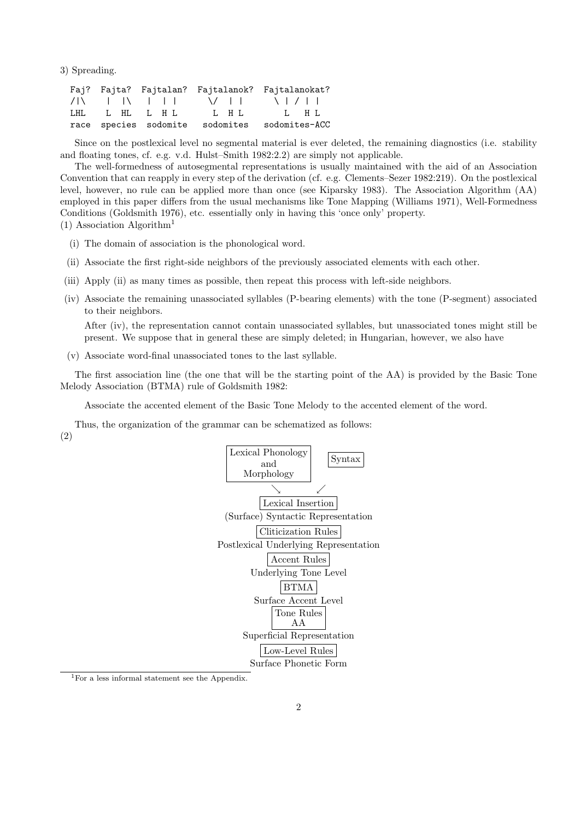3) Spreading.

|  |                                     |                                 | Faj? Fajta? Fajtalan? Fajtalanok? Fajtalanokat? |
|--|-------------------------------------|---------------------------------|-------------------------------------------------|
|  | $\sqrt{11}$ $\sqrt{11}$ $\sqrt{11}$ |                                 | $\sqrt{11}$ $\sqrt{11}$                         |
|  | LHL LHL LHL                         | L H L                           | L HL                                            |
|  |                                     | race species sodomite sodomites | sodomites-ACC                                   |

Since on the postlexical level no segmental material is ever deleted, the remaining diagnostics (i.e. stability and floating tones, cf. e.g. v.d. Hulst–Smith 1982:2.2) are simply not applicable.

The well-formedness of autosegmental representations is usually maintained with the aid of an Association Convention that can reapply in every step of the derivation (cf. e.g. Clements–Sezer 1982:219). On the postlexical level, however, no rule can be applied more than once (see Kiparsky 1983). The Association Algorithm (AA) employed in this paper differs from the usual mechanisms like Tone Mapping (Williams 1971), Well-Formedness Conditions (Goldsmith 1976), etc. essentially only in having this 'once only' property. (1) Association Algorithm<sup>1</sup>

- (i) The domain of association is the phonological word.
- (ii) Associate the first right-side neighbors of the previously associated elements with each other.
- (iii) Apply (ii) as many times as possible, then repeat this process with left-side neighbors.
- (iv) Associate the remaining unassociated syllables (P-bearing elements) with the tone (P-segment) associated to their neighbors.

After (iv), the representation cannot contain unassociated syllables, but unassociated tones might still be present. We suppose that in general these are simply deleted; in Hungarian, however, we also have

(v) Associate word-final unassociated tones to the last syllable.

The first association line (the one that will be the starting point of the AA) is provided by the Basic Tone Melody Association (BTMA) rule of Goldsmith 1982:

Associate the accented element of the Basic Tone Melody to the accented element of the word.

Thus, the organization of the grammar can be schematized as follows: (2)



<sup>1</sup>For a less informal statement see the Appendix.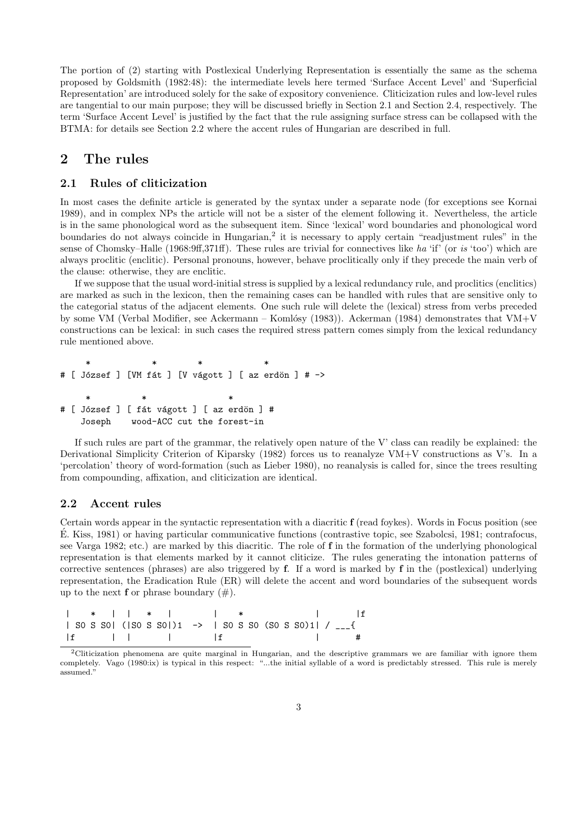The portion of (2) starting with Postlexical Underlying Representation is essentially the same as the schema proposed by Goldsmith (1982:48): the intermediate levels here termed 'Surface Accent Level' and 'Superficial Representation' are introduced solely for the sake of expository convenience. Cliticization rules and low-level rules are tangential to our main purpose; they will be discussed briefly in Section 2.1 and Section 2.4, respectively. The term 'Surface Accent Level' is justified by the fact that the rule assigning surface stress can be collapsed with the BTMA: for details see Section 2.2 where the accent rules of Hungarian are described in full.

### 2 The rules

#### 2.1 Rules of cliticization

In most cases the definite article is generated by the syntax under a separate node (for exceptions see Kornai 1989), and in complex NPs the article will not be a sister of the element following it. Nevertheless, the article is in the same phonological word as the subsequent item. Since 'lexical' word boundaries and phonological word boundaries do not always coincide in Hungarian,<sup>2</sup> it is necessary to apply certain "readjustment rules" in the sense of Chomsky–Halle (1968:9ff,371ff). These rules are trivial for connectives like ha 'if' (or is 'too') which are always proclitic (enclitic). Personal pronouns, however, behave proclitically only if they precede the main verb of the clause: otherwise, they are enclitic.

If we suppose that the usual word-initial stress is supplied by a lexical redundancy rule, and proclitics (enclitics) are marked as such in the lexicon, then the remaining cases can be handled with rules that are sensitive only to the categorial status of the adjacent elements. One such rule will delete the (lexical) stress from verbs preceded by some VM (Verbal Modifier, see Ackermann – Komlósy (1983)). Ackerman (1984) demonstrates that VM+V constructions can be lexical: in such cases the required stress pattern comes simply from the lexical redundancy rule mentioned above.

\* \* \* \* \* \* # [ József ] [VM fát ] [V vágott ] [ az erdön ] # -> \* \* \* # [ József ] [ fát vágott ] [ az erdön ] # Joseph wood-ACC cut the forest-in

If such rules are part of the grammar, the relatively open nature of the V' class can readily be explained: the Derivational Simplicity Criterion of Kiparsky (1982) forces us to reanalyze VM+V constructions as V's. In a 'percolation' theory of word-formation (such as Lieber 1980), no reanalysis is called for, since the trees resulting from compounding, affixation, and cliticization are identical.

#### 2.2 Accent rules

Certain words appear in the syntactic representation with a diacritic f (read foykes). Words in Focus position (see E. Kiss, 1981) or having particular communicative functions (contrastive topic, see Szabolcsi, 1981; contrafocus, ´ see Varga 1982; etc.) are marked by this diacritic. The role of f in the formation of the underlying phonological representation is that elements marked by it cannot cliticize. The rules generating the intonation patterns of corrective sentences (phrases) are also triggered by f. If a word is marked by f in the (postlexical) underlying representation, the Eradication Rule (ER) will delete the accent and word boundaries of the subsequent words up to the next **f** or phrase boundary  $(\#)$ .

|  |  |                                                             |  |  |  | *     *     *       f                                                   |
|--|--|-------------------------------------------------------------|--|--|--|-------------------------------------------------------------------------|
|  |  | SO S SO   ( SO S SO   )1 ->   SO S SO (SO S SO )1   / _ _ { |  |  |  |                                                                         |
|  |  |                                                             |  |  |  | $\overline{1}$ and $\overline{1}$ and $\overline{1}$ and $\overline{1}$ |

<sup>2</sup>Cliticization phenomena are quite marginal in Hungarian, and the descriptive grammars we are familiar with ignore them completely. Vago (1980:ix) is typical in this respect: "...the initial syllable of a word is predictably stressed. This rule is merely assumed."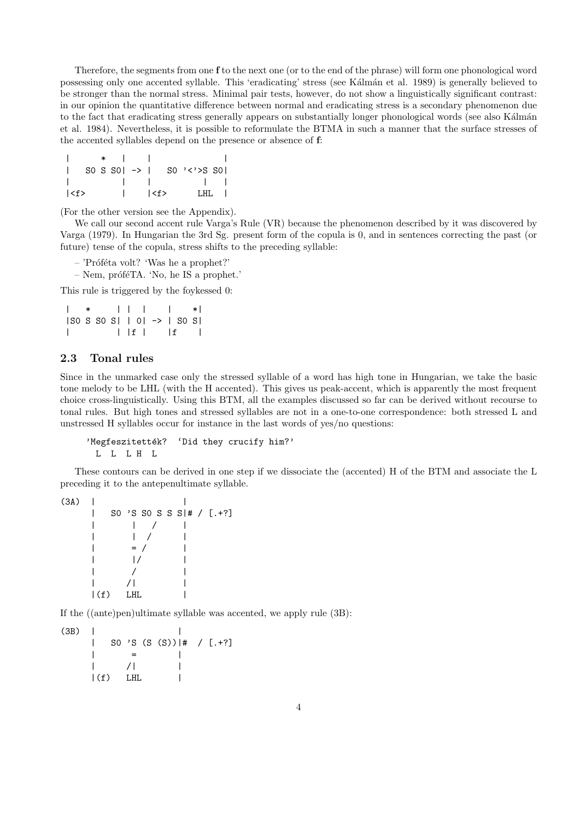Therefore, the segments from one f to the next one (or to the end of the phrase) will form one phonological word possessing only one accented syllable. This 'eradicating' stress (see K´alm´an et al. 1989) is generally believed to be stronger than the normal stress. Minimal pair tests, however, do not show a linguistically significant contrast: in our opinion the quantitative difference between normal and eradicating stress is a secondary phenomenon due to the fact that eradicating stress generally appears on substantially longer phonological words (see also Kálmán et al. 1984). Nevertheless, it is possible to reformulate the BTMA in such a manner that the surface stresses of the accented syllables depend on the presence or absence of f:

|                                                |  | $\star$ $\phantom{00}$ $\phantom{00}$ |                     |  |                                     |       |
|------------------------------------------------|--|---------------------------------------|---------------------|--|-------------------------------------|-------|
|                                                |  |                                       |                     |  | SO S SO $\rightarrow$ 1 SO '<'>S SO |       |
|                                                |  |                                       |                     |  | and the state of the state of       |       |
| $\left\langle \langle f \rangle \right\rangle$ |  |                                       | $ \qquad  $ <f></f> |  |                                     | LHL I |

(For the other version see the Appendix).

We call our second accent rule Varga's Rule (VR) because the phenomenon described by it was discovered by Varga (1979). In Hungarian the 3rd Sg. present form of the copula is 0, and in sentences correcting the past (or future) tense of the copula, stress shifts to the preceding syllable:

- $-$  'Próféta volt? 'Was he a prophet?'
- $-$  Nem, prófé $TA$ . 'No, he IS a prophet.'

This rule is triggered by the foykessed 0:

| $  *         *  $                    |  |  |          |                 |  |  |
|--------------------------------------|--|--|----------|-----------------|--|--|
| $ SO S SO S   O  \rightarrow  SO S $ |  |  |          |                 |  |  |
|                                      |  |  | $ $ if i | $\vert f \vert$ |  |  |

#### 2.3 Tonal rules

Since in the unmarked case only the stressed syllable of a word has high tone in Hungarian, we take the basic tone melody to be LHL (with the H accented). This gives us peak-accent, which is apparently the most frequent choice cross-linguistically. Using this BTM, all the examples discussed so far can be derived without recourse to tonal rules. But high tones and stressed syllables are not in a one-to-one correspondence: both stressed L and unstressed H syllables occur for instance in the last words of yes/no questions:

'Megfeszitették? 'Did they crucify him?' L L L H L

These contours can be derived in one step if we dissociate the (accented) H of the BTM and associate the L preceding it to the antepenultimate syllable.

|             | $=$ / |                                 |
|-------------|-------|---------------------------------|
|             |       |                                 |
|             |       |                                 |
|             |       |                                 |
| $\vert (f)$ |       |                                 |
|             |       | SO 'S SO S S S  # / $[ . + ? ]$ |

If the ((ante)pen)ultimate syllable was accented, we apply rule (3B):

 $(3B)$ | S0 'S (S (S))|# / [.+?]  $| \qquad = \qquad |$  $/|$  |  $|(f)$  LHL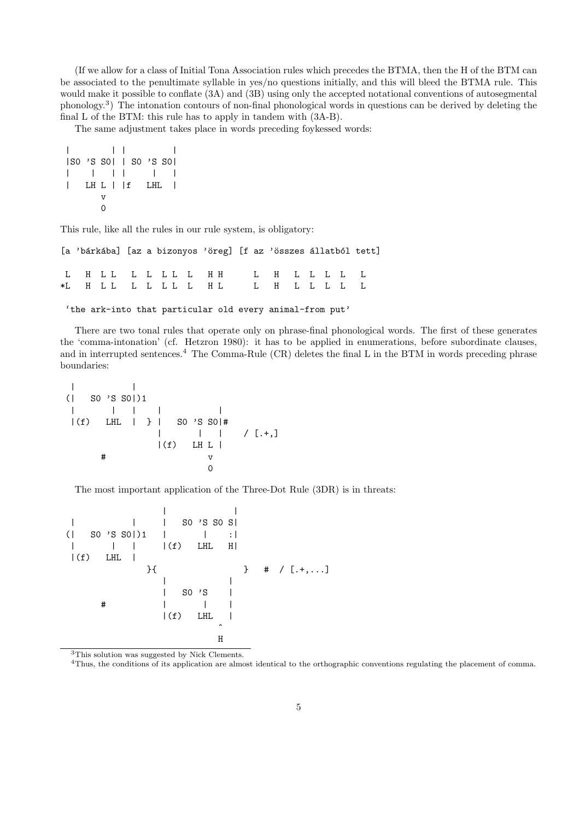(If we allow for a class of Initial Tona Association rules which precedes the BTMA, then the H of the BTM can be associated to the penultimate syllable in yes/no questions initially, and this will bleed the BTMA rule. This would make it possible to conflate (3A) and (3B) using only the accepted notational conventions of autosegmental phonology.<sup>3</sup> ) The intonation contours of non-final phonological words in questions can be derived by deleting the final L of the BTM: this rule has to apply in tandem with (3A-B).

The same adjustment takes place in words preceding foykessed words:

| $ SO'S SO $   SO'S SO |    |  |                     |  |
|-----------------------|----|--|---------------------|--|
|                       |    |  |                     |  |
|                       |    |  | $LH L \mid f$ $LHL$ |  |
|                       | ٦T |  |                     |  |
|                       |    |  |                     |  |

This rule, like all the rules in our rule system, is obligatory:

|  | [a 'bárkába] [az a bizonyos 'öreg] [f az 'összes állatból tett] |  |  |  |  |  |  |  |  |
|--|-----------------------------------------------------------------|--|--|--|--|--|--|--|--|
|  | L H LL L L L L L H H L L L L L L L                              |  |  |  |  |  |  |  |  |
|  |                                                                 |  |  |  |  |  |  |  |  |

'the ark-into that particular old every animal-from put'

There are two tonal rules that operate only on phrase-final phonological words. The first of these generates the 'comma-intonation' (cf. Hetzron 1980): it has to be applied in enumerations, before subordinate clauses, and in interrupted sentences.<sup>4</sup> The Comma-Rule (CR) deletes the final L in the BTM in words preceding phrase boundaries:

| | (| S0 'S S0|)1 | | | | | |(f) LHL | } | S0 'S S0|# | | | / [.+,] |(f) LH L | # v 0

The most important application of the Three-Dot Rule (3DR) is in threats:

| | | | | S0 'S S0 S| (| S0 'S S0|)1 | | :| | | | |(f) LHL H| |(f) LHL | }{ } # / [.+,...] | | | S0 'S | # | | | |(f) LHL | ^ H

<sup>3</sup>This solution was suggested by Nick Clements.

<sup>4</sup>Thus, the conditions of its application are almost identical to the orthographic conventions regulating the placement of comma.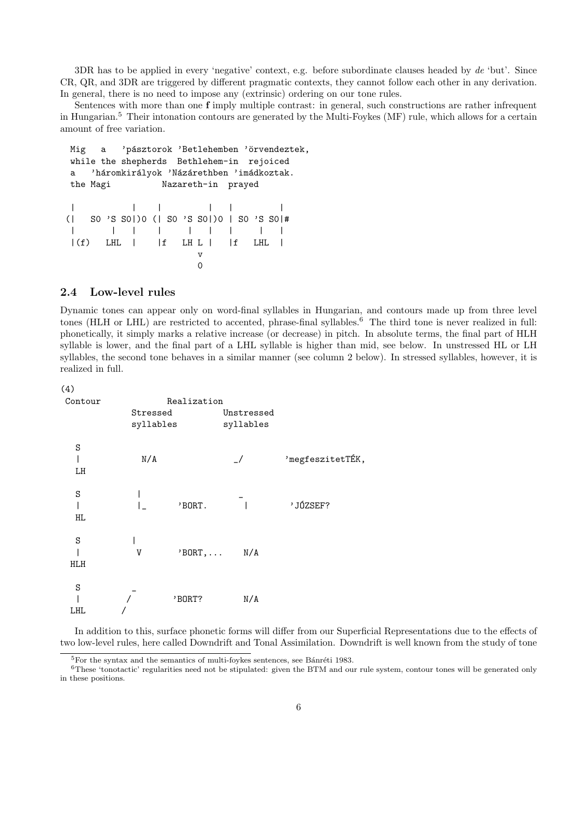3DR has to be applied in every 'negative' context, e.g. before subordinate clauses headed by  $de$  'but'. Since CR, QR, and 3DR are triggered by different pragmatic contexts, they cannot follow each other in any derivation. In general, there is no need to impose any (extrinsic) ordering on our tone rules.

Sentences with more than one f imply multiple contrast: in general, such constructions are rather infrequent in Hungarian.<sup>5</sup> Their intonation contours are generated by the Multi-Foykes (MF) rule, which allows for a certain amount of free variation.

```
Mig a 'pásztorok 'Betlehemben 'örvendeztek,
while the shepherds Bethlehem-in rejoiced
a 'háromkirályok 'Názárethben 'imádkoztak.
the Magi Nazareth-in prayed
| | | | | |
(| S0 'S S0|)0 (| S0 'S S0|)0 | S0 'S S0|#
| | | | | | | | |
|(f) LHL | |f LH L | |f LHL |v
                    \overline{O}
```
#### 2.4 Low-level rules

Dynamic tones can appear only on word-final syllables in Hungarian, and contours made up from three level tones (HLH or LHL) are restricted to accented, phrase-final syllables.<sup>6</sup> The third tone is never realized in full: phonetically, it simply marks a relative increase (or decrease) in pitch. In absolute terms, the final part of HLH syllable is lower, and the final part of a LHL syllable is higher than mid, see below. In unstressed HL or LH syllables, the second tone behaves in a similar manner (see column 2 below). In stressed syllables, however, it is realized in full.

```
(4)
```

| Contour  |                       | Realization |                         |                  |
|----------|-----------------------|-------------|-------------------------|------------------|
|          | Stressed<br>syllables |             | Unstressed<br>syllables |                  |
| S<br>LH  | N/A                   |             | $\frac{1}{2}$           | 'megfeszitetTÉK, |
| S<br>HL. |                       | 'BORT.      |                         | 'JÓZSEF?         |
| S<br>HLH | V                     | $'BORT$ ,   | N/A                     |                  |
| S<br>LHL |                       | 'BORT?      | N/A                     |                  |

In addition to this, surface phonetic forms will differ from our Superficial Representations due to the effects of two low-level rules, here called Downdrift and Tonal Assimilation. Downdrift is well known from the study of tone

 $5$ For the syntax and the semantics of multi-foykes sentences, see Bánréti 1983.

<sup>&</sup>lt;sup>6</sup>These 'tonotactic' regularities need not be stipulated: given the BTM and our rule system, contour tones will be generated only in these positions.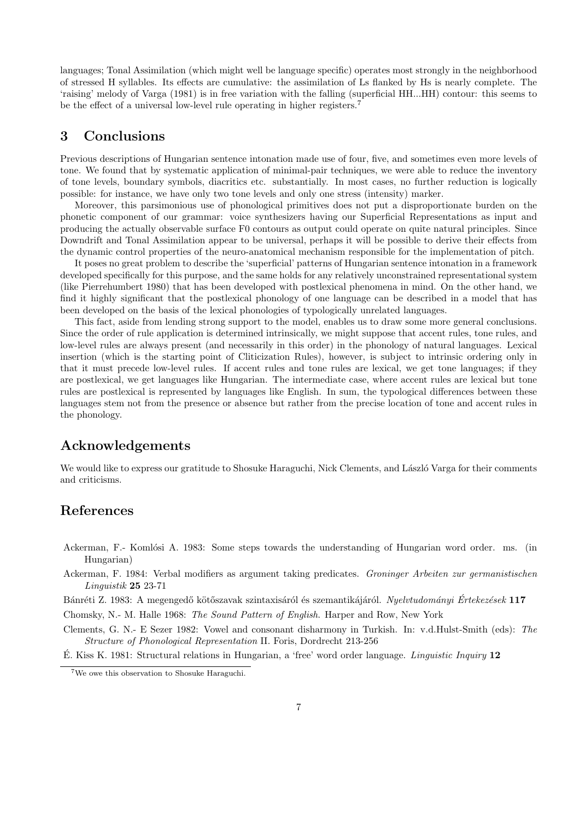languages; Tonal Assimilation (which might well be language specific) operates most strongly in the neighborhood of stressed H syllables. Its effects are cumulative: the assimilation of Ls flanked by Hs is nearly complete. The 'raising' melody of Varga (1981) is in free variation with the falling (superficial HH...HH) contour: this seems to be the effect of a universal low-level rule operating in higher registers.<sup>7</sup>

### 3 Conclusions

Previous descriptions of Hungarian sentence intonation made use of four, five, and sometimes even more levels of tone. We found that by systematic application of minimal-pair techniques, we were able to reduce the inventory of tone levels, boundary symbols, diacritics etc. substantially. In most cases, no further reduction is logically possible: for instance, we have only two tone levels and only one stress (intensity) marker.

Moreover, this parsimonious use of phonological primitives does not put a disproportionate burden on the phonetic component of our grammar: voice synthesizers having our Superficial Representations as input and producing the actually observable surface F0 contours as output could operate on quite natural principles. Since Downdrift and Tonal Assimilation appear to be universal, perhaps it will be possible to derive their effects from the dynamic control properties of the neuro-anatomical mechanism responsible for the implementation of pitch.

It poses no great problem to describe the 'superficial' patterns of Hungarian sentence intonation in a framework developed specifically for this purpose, and the same holds for any relatively unconstrained representational system (like Pierrehumbert 1980) that has been developed with postlexical phenomena in mind. On the other hand, we find it highly significant that the postlexical phonology of one language can be described in a model that has been developed on the basis of the lexical phonologies of typologically unrelated languages.

This fact, aside from lending strong support to the model, enables us to draw some more general conclusions. Since the order of rule application is determined intrinsically, we might suppose that accent rules, tone rules, and low-level rules are always present (and necessarily in this order) in the phonology of natural languages. Lexical insertion (which is the starting point of Cliticization Rules), however, is subject to intrinsic ordering only in that it must precede low-level rules. If accent rules and tone rules are lexical, we get tone languages; if they are postlexical, we get languages like Hungarian. The intermediate case, where accent rules are lexical but tone rules are postlexical is represented by languages like English. In sum, the typological differences between these languages stem not from the presence or absence but rather from the precise location of tone and accent rules in the phonology.

## Acknowledgements

We would like to express our gratitude to Shosuke Haraguchi, Nick Clements, and László Varga for their comments and criticisms.

## References

- Ackerman, F.- Komlósi A. 1983: Some steps towards the understanding of Hungarian word order. ms. (in Hungarian)
- Ackerman, F. 1984: Verbal modifiers as argument taking predicates. Groninger Arbeiten zur germanistischen Linguistik 25 23-71
- Bánréti Z. 1983: A megengedő kötőszavak szintaxisáról és szemantikájáról. Nyelvtudományi Értekezések 117

Chomsky, N.- M. Halle 1968: The Sound Pattern of English. Harper and Row, New York

Clements, G. N.- E Sezer 1982: Vowel and consonant disharmony in Turkish. In: v.d.Hulst-Smith (eds): The Structure of Phonological Representation II. Foris, Dordrecht 213-256

E. Kiss K. 1981: Structural relations in Hungarian, a 'free' word order language. *Linguistic Inquiry* 12

<sup>7</sup>We owe this observation to Shosuke Haraguchi.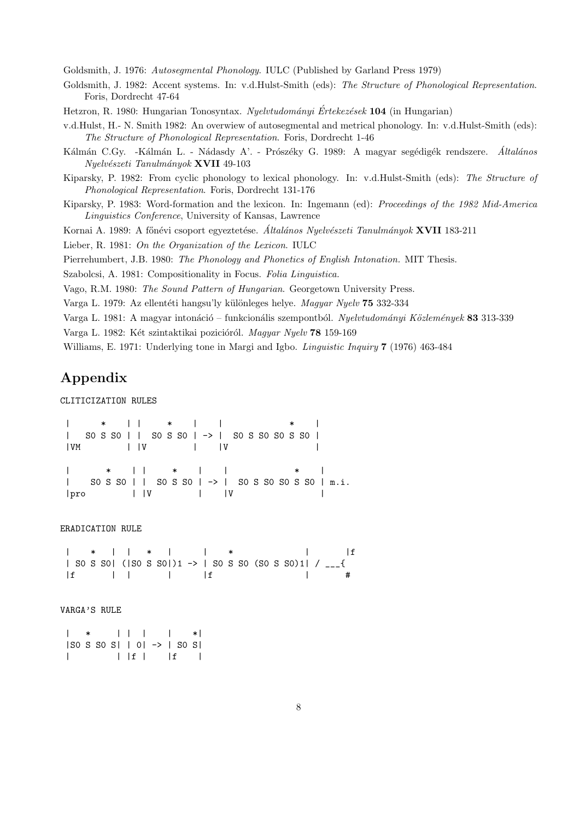Goldsmith, J. 1976: Autosegmental Phonology. IULC (Published by Garland Press 1979)

Goldsmith, J. 1982: Accent systems. In: v.d.Hulst-Smith (eds): The Structure of Phonological Representation. Foris, Dordrecht 47-64

Hetzron, R. 1980: Hungarian Tonosyntax. Nyelvtudományi Értekezések 104 (in Hungarian)

v.d.Hulst, H.- N. Smith 1982: An overwiew of autosegmental and metrical phonology. In: v.d.Hulst-Smith (eds): The Structure of Phonological Representation. Foris, Dordrecht 1-46

Kálmán C.Gy. -Kálmán L. - Nádasdy A'. - Prószéky G. 1989: A magyar segédigék rendszere. *Általános* Nyelvészeti Tanulmányok XVII 49-103

Kiparsky, P. 1982: From cyclic phonology to lexical phonology. In: v.d.Hulst-Smith (eds): The Structure of Phonological Representation. Foris, Dordrecht 131-176

Kiparsky, P. 1983: Word-formation and the lexicon. In: Ingemann (ed): Proceedings of the 1982 Mid-America Linguistics Conference, University of Kansas, Lawrence

Kornai A. 1989: A főnévi csoport egyeztetése. Általános Nyelvészeti Tanulmányok XVII 183-211

Lieber, R. 1981: On the Organization of the Lexicon. IULC

Pierrehumbert, J.B. 1980: The Phonology and Phonetics of English Intonation. MIT Thesis.

Szabolcsi, A. 1981: Compositionality in Focus. Folia Linguistica.

Vago, R.M. 1980: The Sound Pattern of Hungarian. Georgetown University Press.

Varga L. 1979: Az ellentéti hangsu'ly különleges helye. Magyar Nyelv 75 332-334

Varga L. 1981: A magyar intonáció – funkcionális szempontból. Nyelvtudományi Közlemények 83 313-339

Varga L. 1982: Két szintaktikai pozicióról. Magyar Nyelv 78 159-169

Williams, E. 1971: Underlying tone in Margi and Igbo. *Linguistic Inquiry* 7 (1976) 463-484

# Appendix

CLITICIZATION RULES

| \* | | \* | | \* | | S0 S S0 | | S0 S S0 | -> | S0 S S0 S0 S S0 | |VM | |V | |V | | \* | | \* | | \* | | S0 S S0 | | S0 S S0 | -> | S0 S S0 S0 S S0 | m.i.  $|pro|$   $|V|$   $|V|$ 

ERADICATION RULE

| \* | | \* | | \* | |f | SO S SO| (|SO S SO|)1 -> | SO S SO (SO S SO)1| / \_\_\_{ |f | | | |f | #

VARGA'S RULE

| \* | | | | \*| |S0 S S0 S| | 0| -> | S0 S| | | |f | |f |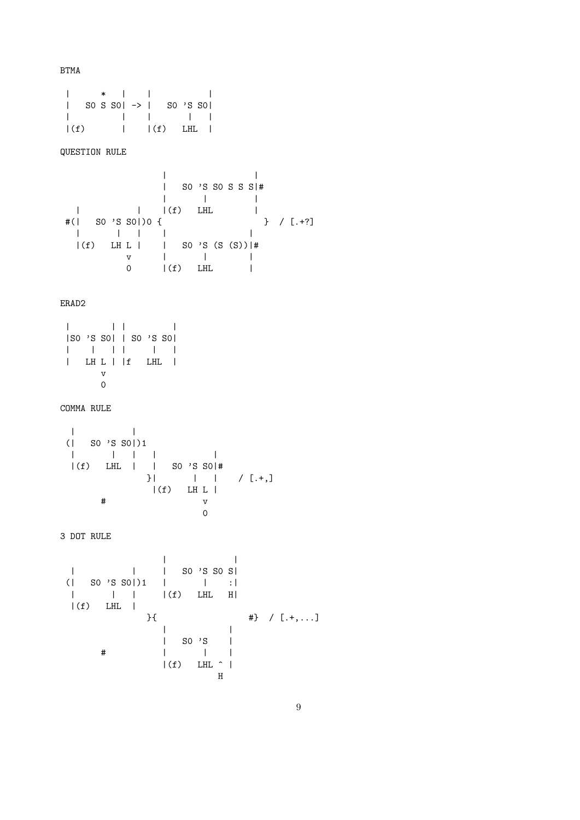BTMA

| \* | | | | S0 S S0| -> | S0 'S S0| | | | | |  $|(f)$  |  $|(f)$  LHL | QUESTION RULE | | | S0 'S S0 S S S|# | | | | | |(f) LHL | #(| S0 'S S0|)0 { } / [.+?] | | | | |  $|(f)$  LH L  $|$  | S0 'S (S (S))  $|$ # v | | | 0 |(f) LHL | ERAD2 | | | | |S0 'S S0| | S0 'S S0| | | | | | | | LH L | |f LHL | v 0 COMMA RULE | | (| S0 'S S0|)1 | | | | | |(f) LHL | | S0 'S S0|# }| | | / [.+,]  $|(f)$  LH L  $|$  $\#$  v  $\begin{bmatrix} 0 \\ 0 \end{bmatrix}$ 3 DOT RULE | | | | | S0 'S S0 S|  $( |$  SO 'S SO|)1 | | | :| | | | |(f) LHL H|  $|(f)$  LHL  $|$  ${ }$ }{  $\{$   $\{$   $\}$   $\{$   $\}$   $\{$   $\{$   $\}$   $\{$   $\{$   $\}$   $\{$   $\}$   $\{$   $\{$   $\}$   $\{$   $\}$   $\{$   $\}$   $\{$   $\{$   $\}$   $\{$   $\}$   $\{$   $\}$   $\{$   $\{$   $\}$   $\{$   $\}$   $\{$   $\}$   $\{$   $\{$   $\}$   $\{$   $\}$   $\{$   $\{$   $\}$   $\{$ | | | S0 'S | # | | |  $|(f)$  LHL  $\hat{ }$  | H